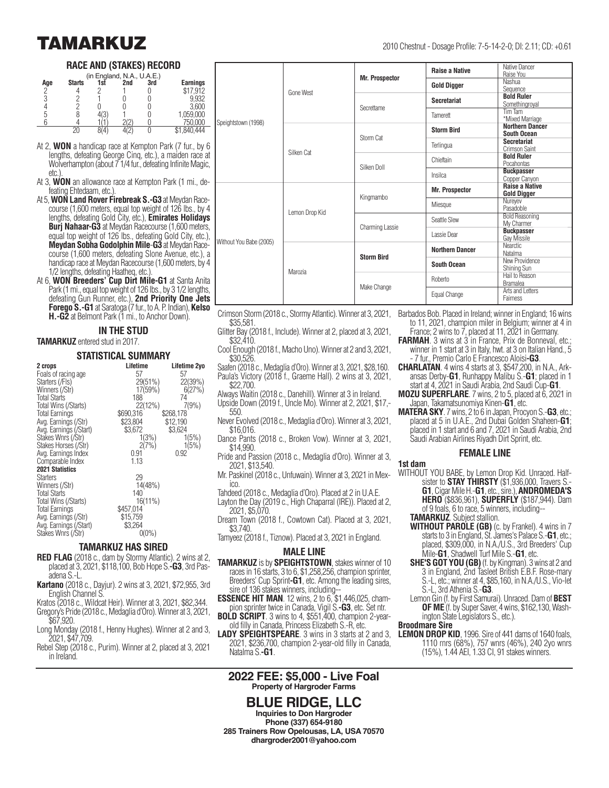### **RACE AND (STAKES) RECORD**

| (in England, N.A., U.A.E.) |               |     |     |     |                 |  |  |
|----------------------------|---------------|-----|-----|-----|-----------------|--|--|
| Age                        | <b>Starts</b> | 1sť | 2nd | 3rd | <b>Earnings</b> |  |  |
| C,                         |               |     |     |     | \$17.912        |  |  |
|                            |               |     |     |     | 9.932           |  |  |
|                            |               |     |     |     | 3.600           |  |  |
|                            |               |     |     |     | 1,059,000       |  |  |
|                            |               |     |     |     | 750.000         |  |  |
|                            |               |     |     |     |                 |  |  |

- At 2, **WON** a handicap race at Kempton Park (7 fur., by 6 lengths, defeating George Cinq, etc.), a maiden race at Wolverhampton (about 7 1/4 fur., defeating Infinite Magic, etc.
- At 3, **WON** an allowance race at Kempton Park (1 mi., defeating Ehtedaam, etc.).
- At 5, **WON Land Rover Firebreak S.-G3** at Meydan Racecourse (1,600 meters, equal top weight of 126 lbs., by 4 lengths, defeating Gold City, etc.), **Emirates Holidays Burj Nahaar-G3** at Meydan Racecourse (1,600 meters, equal top weight of 126 lbs., defeating Gold City, etc.), **Meydan Sobha Godolphin Mile**-**G3** at Meydan Racecourse (1,600 meters, defeating Slone Avenue, etc.), a handicap race at Meydan Racecourse (1,600 meters, by 4 1/2 lengths, defeating Haatheq, etc.).
- At 6, **WON Breeders' Cup Dirt Mile-G1** at Santa Anita Park (1 mi., equal top weight of 126 lbs., by 3 1/2 lengths, defeating Gun Runner, etc.), **2nd Priority One Jets Forego S.-G1** at Saratoga (7 fur., to A. P. Indian), **Kelso H.-G2** at Belmont Park (1 mi., to Anchor Down).

## **IN THE STUD**

#### **TAMARKUZ** entered stud in 2017.

#### **STATISTICAL SUMMARY**

| 2 crops                | Lifetime   | Lifetime 2yo |
|------------------------|------------|--------------|
| Foals of racing age    | 57         | 57           |
| Starters (/Fls)        | 29(51%)    | 22(39%)      |
| Winners (/Str)         | 17(59%)    | 6(27%)       |
| <b>Total Starts</b>    | 188        | 74           |
| Total Wins (/Starts)   | 22(12%)    | 7(9%)        |
|                        | \$690,316  | \$268,178    |
| Total Earnings         |            |              |
| Avg. Earnings (/Str)   | \$23.804   | \$12.190     |
| Avg. Earnings (/Start) | \$3,672    | \$3,624      |
| Stakes Wnrs (/Str)     | 1(3%)      | 1(5%)        |
| Stakes Horses (/Str)   | 2(7%)      | 1(5%)        |
| Avg. Earnings Index    | 0.91       | 0.92         |
| Comparable Index       | 1.13       |              |
| <b>2021 Statistics</b> |            |              |
| <b>Starters</b>        | 29         |              |
| Winners (/Str)         | 14(48%)    |              |
| <b>Total Starts</b>    | 140        |              |
| Total Wins (/Starts)   | $16(11\%)$ |              |
|                        |            |              |
| Total Earnings         | \$457,014  |              |
| Avg. Earnings (/Str)   | \$15,759   |              |
| Avg. Earnings (/Start) | \$3,264    |              |
| Stakes Wnrs (/Str)     | $0(0\%)$   |              |

### **TAMARKUZ HAS SIRED**

- **RED FLAG** (2018 c., dam by Stormy Atlantic). 2 wins at 2, placed at 3, 2021, \$118,100, Bob Hope S.**-G3**, 3rd Pasadena S.-L.
- **Kartano** (2018 c., Dayjur). 2 wins at 3, 2021, \$72,955, 3rd English Channel S.
- Kratos (2018 c., Wildcat Heir). Winner at 3, 2021, \$82,344. Gregory's Pride (2018 c., Medaglia d'Oro). Winner at 3, 2021,
- \$67,920. Long Monday (2018 f., Henny Hughes). Winner at 2 and 3,
- 2021, \$47,709. Rebel Step (2018 c., Purim). Winner at 2, placed at 3, 2021
- in Ireland.

|                         | Gone West      | <b>Mr. Prospector</b> | <b>Raise a Native</b>  | Native Dancer<br>Raise You                   |
|-------------------------|----------------|-----------------------|------------------------|----------------------------------------------|
|                         |                |                       | <b>Gold Digger</b>     | Nashua<br>Sequence                           |
| Speightstown (1998)     |                | Secrettame            | <b>Secretariat</b>     | <b>Bold Ruler</b><br>Somethingroyal          |
|                         |                |                       | Tamerett               | Tim Tam<br>*Mixed Marriage                   |
|                         | Silken Cat     | Storm Cat             | <b>Storm Bird</b>      | <b>Northern Dancer</b><br><b>South Ocean</b> |
|                         |                |                       | Terlingua              | <b>Secretariat</b><br>Crimson Saint          |
|                         |                | Silken Doll           | Chieftain              | <b>Bold Ruler</b><br>Pocahontas              |
|                         |                |                       | Insilca                | <b>Buckpasser</b><br>Copper Canyon           |
|                         | Lemon Drop Kid | Kingmambo             | <b>Mr. Prospector</b>  | <b>Raise a Native</b><br><b>Gold Digger</b>  |
|                         |                |                       | Miesque                | Nureyev<br>Pasadoble                         |
|                         |                | Charming Lassie       | Seattle Slew           | <b>Bold Reasoning</b><br>My Charmer          |
| Without You Babe (2005) |                |                       | Lassie Dear            | <b>Buckpasser</b><br>Gay Missile             |
|                         | Marozia        | <b>Storm Bird</b>     | <b>Northern Dancer</b> | <b>Nearctic</b><br>Natalma                   |
|                         |                |                       | <b>South Ocean</b>     | New Providence<br>Shining Sun                |
|                         |                | Make Change           | Roberto                | Hail to Reason<br><b>Bramalea</b>            |
|                         |                |                       | Equal Change           | Arts and Letters<br>Fairness                 |

- Crimson Storm (2018 c., Stormy Atlantic). Winner at 3, 2021, \$35,581.
- Glitter Bay (2018 f., Include). Winner at 2, placed at 3, 2021, \$32,410.
- Cool Enough (2018 f., Macho Uno). Winner at 2 and 3, 2021, \$30,526.
- Saafen (2018 c., Medaglia d'Oro). Winner at 3, 2021, \$28,160. Paula's Victory (2018 f., Graeme Hall). 2 wins at 3, 2021, \$22,700.
- Always Waitin (2018 c., Danehill). Winner at 3 in Ireland. Upside Down (2019 f., Uncle Mo). Winner at 2, 2021, \$17,- 550.
- Never Evolved (2018 c., Medaglia d'Oro). Winner at 3, 2021, \$16,016.
- Dance Pants (2018 c., Broken Vow). Winner at 3, 2021, \$14,990.
- Pride and Passion (2018 c., Medaglia d'Oro). Winner at 3, 2021, \$13,540.
- Mr. Paskinel (2018 c., Unfuwain). Winner at 3, 2021 in Mexico.
- Tahdeed (2018 c., Medaglia d'Oro). Placed at 2 in U.A.E. Layton the Day (2019 c., High Chaparral (IRE)). Placed at 2,
- 2021, \$5,070.
- Dream Town (2018 f., Cowtown Cat). Placed at 3, 2021, \$3,740.
- Tamyeez (2018 f., Tiznow). Placed at 3, 2021 in England.

#### **MALE LINE**

- **TAMARKUZ** is by **SPEIGHTSTOWN**, stakes winner of 10 races in 16 starts, 3 to 6, \$1,258,256, champion sprinter, Breeders' Cup Sprint**-G1**, etc. Among the leading sires, sire of 136 stakes winners, including--
- **ESSENCE HIT MAN.** 12 wins, 2 to 6, \$1,446,025, champion sprinter twice in Canada, Vigil S.**-G3**, etc. Set ntr.
- **BOLD SCRIPT**. 3 wins to 4, \$551,400, champion 2-yearold filly in Canada, Princess Elizabeth S.-R, etc.
- **LADY SPEIGHTSPEARE**. 3 wins in 3 starts at 2 and 3, 2021, \$236,700, champion 2-year-old filly in Canada, Natalma S.**-G1**.

#### **2022 FEE: \$5,000 - Live Foal Property of Hargroder Farms**

**BLUE RIDGE, LLC Inquiries to Don Hargroder Phone (337) 654-9180 285 Trainers Row Opelousas, LA, USA 70570 dhargroder2001@yahoo.com**

- Barbados Bob. Placed in Ireland; winner in England; 16 wins to 11, 2021, champion miler in Belgium; winner at 4 in
- France; 2 wins to 7, placed at 11, 2021 in Germany. **FARMAH.** 3 wins at 3 in France, Prix de Bonneval, etc.;
- winner in 1 start at 3 in Italy, hwt. at 3 on Italian Hand., 5 - 7 fur., Premio Carlo E Francesco Aloisi**-G3**.
- **CHARLATAN**. 4 wins 4 starts at 3, \$547,200, in N.A., Arkansas Derby-**G1**, Runhappy Malibu S.-**G1**; placed in 1 start at 4, 2021 in Saudi Arabia, 2nd Saudi Cup-**G1**.
- Japan, Takamatsunomiya Kinen-**G1**, etc.
- **MATERA SKY**. 7 wins, 2 to 6 in Japan, Procyon S.-**G3**, etc.; placed at 5 in U.A.E., 2nd Dubai Golden Shaheen-**G1**; placed in 1 start and 6 and 7, 2021 in Saudi Arabia, 2nd Saudi Arabian Airlines Riyadh Dirt Sprint, etc.

#### **FEMALE LINE**

#### **1st dam**

- WITHOUT YOU BABE, by Lemon Drop Kid. Unraced. Halfsister to **STAY THIRSTY** (\$1,936,000, Travers S.- **G1**, Cigar Mile H.-**G1**, etc., sire.), **ANDROMEDA'S HERO** (\$836,961), **SUPERFLY** (\$187,944). Dam of 9 foals, 6 to race, 5 winners, including--
	- **TAMARKUZ**. Subject stallion.
	- **WITHOUT PAROLE (GB)** (c. by Frankel). 4 wins in 7 starts to 3 in England, St. James's Palace S.-**G1**, etc.; placed, \$309,000, in N.A./U.S., 3rd Breeders' Cup Mile-**G1**, Shadwell Turf Mile S.-**G1**, etc.
	- **SHE'S GOT YOU (GB)** (f. by Kingman). 3 wins at 2 and 3 in England, 2nd Tasleet British E.B.F. Rose-mary S.-L, etc.; winner at 4, \$85,160, in N.A./U.S., Vio-let S.-L, 3rd Athenia S.-**G3**.
	- Lemon Gin (f. by First Samurai). Unraced. Dam of **BEST OF ME** (f. by Super Saver, 4 wins, \$162,130, Washington State Legislators S., etc.).

#### **Broodmare Sire**

**LEMON DROP KID**, 1996. Sire of 441 dams of 1640 foals, 1110 rnrs (68%), 757 wnrs (46%), 240 2yo wnrs (15%), 1.44 AEI, 1.33 CI, 91 stakes winners.

- 
- **MOZU SUPERFLARE**. 7 wins, 2 to 5, placed at 6, 2021 in
- 

## **TAMARKUZ** 2010 Chestnut - Dosage Profile: 7-5-14-2-0; DI: 2.11; CD: +0.61